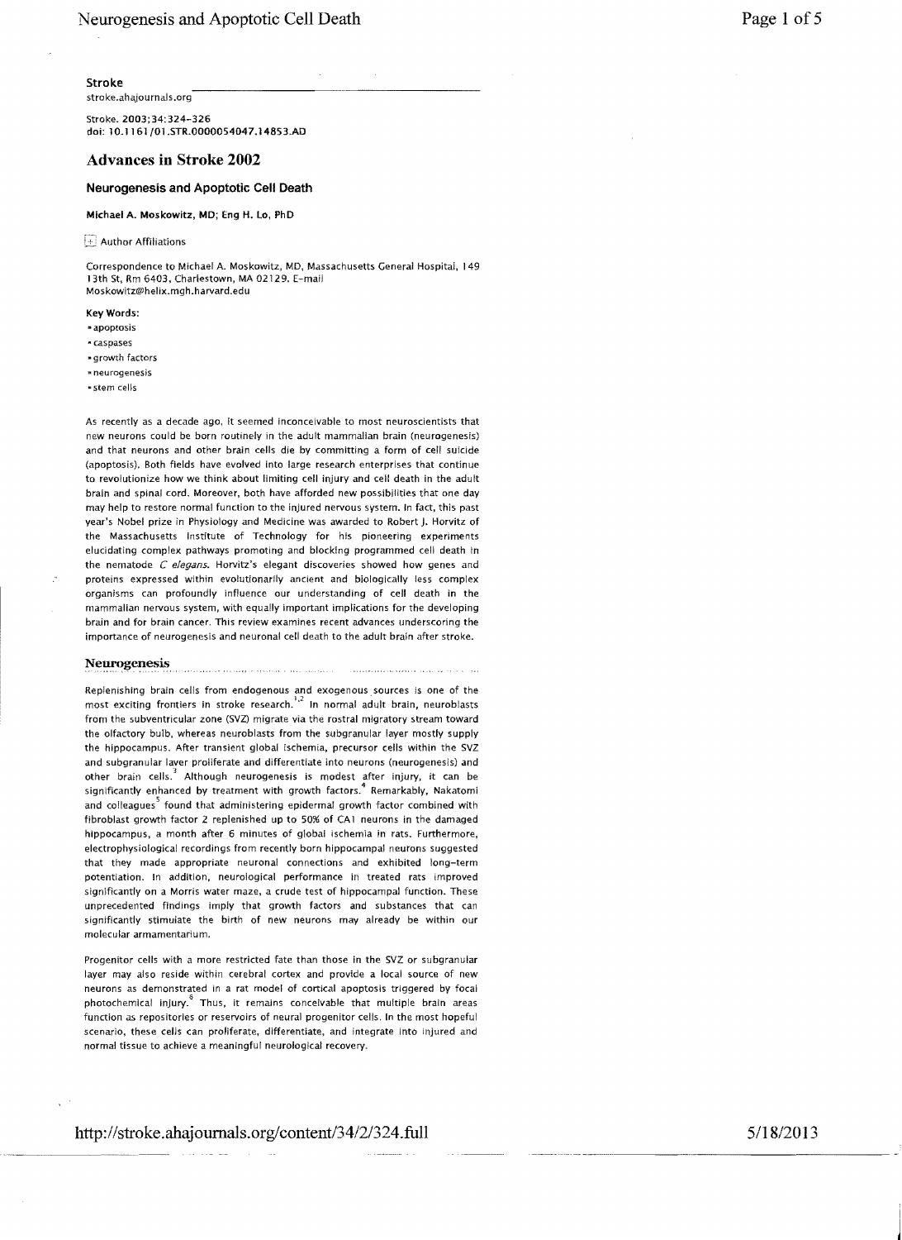stroke.ahajournals.org

Stroke. 2003;34:324-326 doi: 10.1 161/01.STR.0000054047.14853.AD

## Advances **in** Stroke **2002**

### Neurogenesis and Apoptotic Cell Death

Michael A. Moskowitz, MD; Eng H. lo, PhD

Author Affiliations

Correspondence to Michael A. Moskowitz, MD, Massachusetts General Hospital, 149 13th St, Rm 6403, Charlestown, MA 02129. E-mail Moskowitz@helix.mgh.harvard.edu

KeyWords:

- "apoptosis
- caspases
- \* growth factors
- ". neurogenesis
- 'stem cells

As recently as a decade ago, it seemed inconceivable to most neuroscientists that new neurons could be born routinely in the adult mammalian brain (neurogenesis) and that neurons and other brain cells die by committing a form of cell suicide (apoptosis). Both fields have evolved into large research enterprises that continue to revolutionize how we think about limiting cell injury and cell death in the adult brain and spinal cord. Moreover, both have afforded new possibilities that one day may help to restore normal function to the injured nervous system. In fact, this past year's Nobel prize in Physiology and Medicine was awarded to Robert J. Horvitz of the Massachusetts Institute of Technology for his pioneering experiments elucidating complex pathways promoting and blocking programmed cell death in the nematode C *elegans.* Horvitz's elegant discoveries showed how genes and proteins expressed within evolutionarily ancient and biologically less complex organisms can profoundly influence our understanding of cell death in the mammalian nervous system, with equally important implications for the developing brain and for brain cancer. This review examines recent advances underscoring the importance of neurogenesis and neuronal cell death to the adult brain after stroke.

### Neurogenesis

Replenishing brain cells from endogenous and exogenous, sources is one of the most exciting frontiers in stroke research.'" In normal adult brain, neuroblasts from the subventricular zone (5VZ) migrate via the rostral migratory stream toward the olfactory bulb, whereas neuroblasts from the subgranular layer mostly supply the hippocampus. After transient global ischemia, precursor cells within the SVZ and subgranular laver proliferate and differentiate into neurons (neurogenesis) and other brain cells. $^3$  Although neurogenesis is modest after injury, it can be significantly enhanced by treatment with growth factors.<sup>4</sup> Remarkably, Nakatomi and colleagues<sup>3</sup> found that administering epidermal growth factor combined with fibroblast growth factor 2 replenished up to 50% of CA1 neurons in the damaged hippocampus, a month after 6 minutes of global ischemia in rats. Furthermore, electrophysiological recordings from recently born hippocampal neurons suggested that they made appropriate neuronal connections and exhibited long-term potentiation. In addition, neurological performance in treated rats improved significantly on a Morris water maze, a crude test of hippocampal function. These unprecedented findings imply that growth factors and substances that can significantly stimulate the birth of new neurons may already be within our molecular armamentarium.

Progenitor cells with a more restricted fate than those in the SVZ or subgranular layer may also reside within cerebral cortex and provide a local source of new neurons as demonstrated in a rat model of cortical apoptosis triggered by focal photochemical injury.<sup>8</sup> Thus, it remains conceivable that multiple brain areas function as repositories or reservoirs of neural progenitor cells. In the most hopeful scenario, these celis can proliferate, differentiate, and integrate into injured and normal tissue to achieve a meaningful neurological recovery.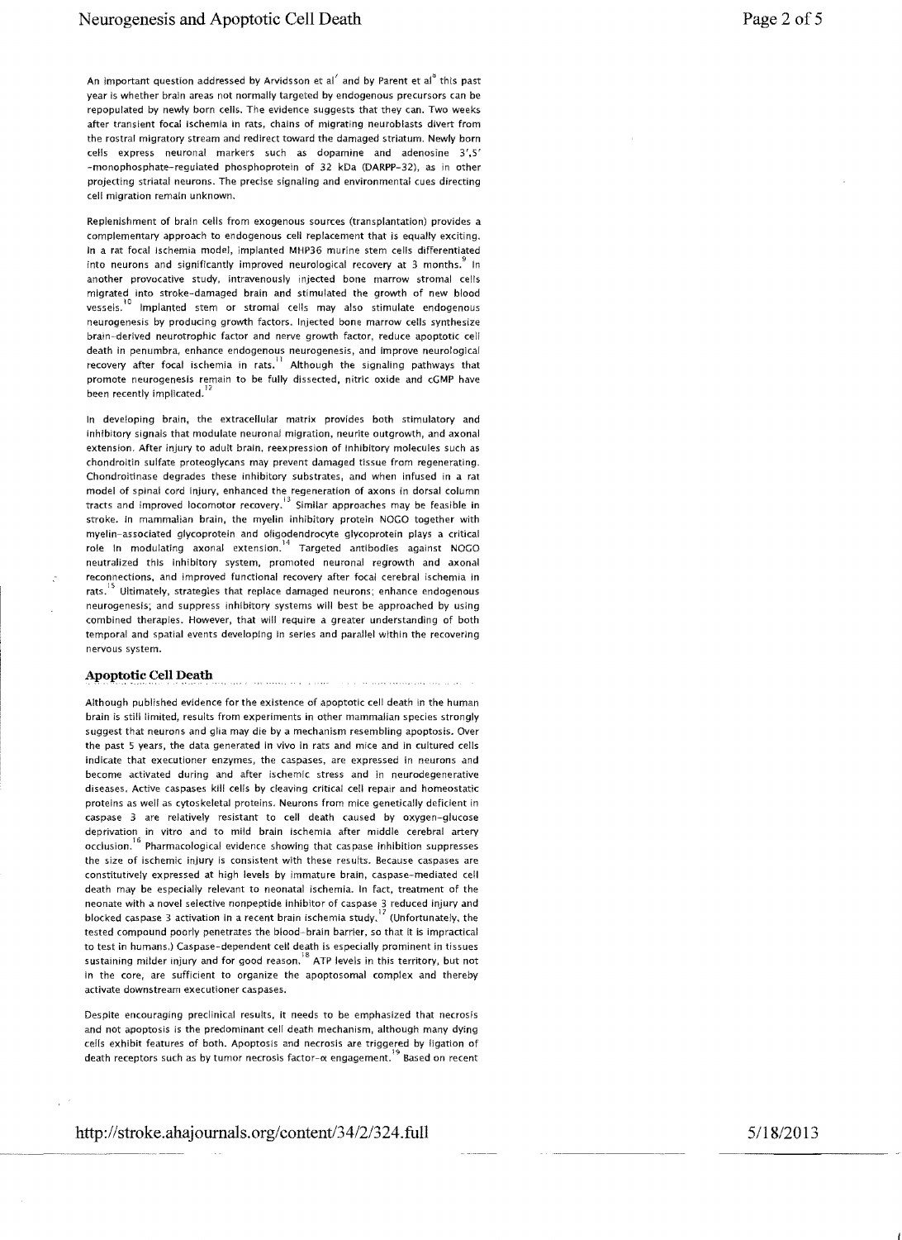An important question addressed by Arvidsson et  $aI'$  and by Parent et  $aI''$  this past year is whether brain areas not normally targeted by endogenous precursors can be repopulated by newly born cells. The evidence suggests that they can. Two weeks after transient focal ischemia in rats, chains of migrating neuroblasts divert from the rostral migratory stream and redirect toward the damaged striatum. Newly born cells express neuronal markers such as dopamine and adenosine 3',5' -monophosphate-regulated phosphoprotein of 32 kDa (DARPP-32). as in other projecting striatal neurons. The precise signaling and enVironmental cues directing cell migration remain unknown.

Replenishment of brain cells from exogenous sources (transplantation) provides a complementary approach to endogenous cell replacement that is equally exciting. In a rat focal ischemia model, implanted MHP36 murine stem cells differentiated into neurons and significantly improved neurological recovery at 3 months.  $\degree$  In another provocative study, intravenously injected bone marrow stromal cells migrated into stroke-damaged brain and stimulated the growth of new blood vessels.<sup>10</sup> Implanted stem or stromal cells may also stimulate endogenous neurogenesis by producing growth factors. Injected bone marrow cells synthesize brain--derived neurotrophic factor and nerve growth factor. reduce apoptotic cell death in penumbra, enhance endogenous neurogenesis, and improve neurological recovery after focal ischemia in rats. $^{11}$  Although the signaling pathways that promote neurogenesis remain to be fully dissected, nitric oxide and cGMP have been recently implicated.

In developing brain, the extracellular matrix provides both stimulatory and inhibitory signals that modulate neuronal migration, neurite outgrowth, and axonal extension. After injury to adult brain, reexpression of inhibitory molecules such as chondroitin sulfate proteoglycans may prevent damaged tissue from regenerating. Chondroitinase degrades these inhibitory substrates, and when infused in a rat model of spinal cord injury, enhanced the regeneration of axons in dorsal column tracts and improved locomotor recovery.13 Similar approaches may be feasible in stroke. In mammalian brain, the myelin inhibitory protein NOGO together with myelin-associated glycoprotein and oligodendrocyte glycoprotein plays a critical role in modulating axonal extension. <sup>14</sup> Targeted antibodies against NOGO neutralized this inhibitory system, promoted neuronal regrowth and axonal reconnections, and improved functional recovery after focal cerebral ischemia in rats.<sup>15</sup> Ultimately, strategies that replace damaged neurons; enhance endogenous neurogenesis; and suppress inhibitory systems will best be approached by using combined therapies. However, that will require a greater understanding of both temporal and spatial events developing in series and parallel within the recovering nervous system.

# Apoptotic Cell Death

Although published evidence for the existence of apoptotic cell death in the human brain is still limited, results from experiments in other mammalian species strongly suggest that neurons and glia may die by a mechanism resembling apoptosis. Over the past 5 years, the data generated in vivo in rats and mice and in cultured cells indicate that executioner enzymes, the caspases, are expressed in neurons and become activated during and after ischemic stress and in neurodegenerative diseases. ActiVe caspases kill cells by cleaving critical cell repair and homeostatic proteins as well as cytoskeletal proteins. Neurons from mice genetically deficient in caspase 3 are relatively resistant to cell death caused by oxygen-glucose deprivation in vitro and to mild brain ischemia after middle cerebral artery occlusion.<sup>16</sup> Pharmacological evidence showing that caspase inhibition suppresses the size of ischemic injury is consistent with these results. Because caspases are constitutively expressed at high levels by immature brain, caspase-mediated ceii death may be especially relevant to neonatal ischemia. In fact, treatment of the neonate with a novel selective nonpeptide inhibitor of caspase 3 reduced injury and blocked caspase 3 activation in a recent brain ischemia study, $^{17}$  (Unfortunately, the tested compound poorly penetrates the blood-brain barrier, so that it is impractical to test in humans.) Caspase-dependent cell death is especially prominent in tissues<br>18 sustaining milder injury and for good reason.<sup>18</sup> ATP levels in this territory, but not in the core, are sufficient to organize the apoptosomal complex and thereby activate downstream executioner caspases.

Despite encouraging preclinical results, it needs to be emphasized that necrosis and not apoptosis is the predominant cell death mechanism, although many dying cells exhibit features of both. Apoptosis and necrosis are triggered by ligation of death receptors such as by tumor necrosis factor- $\alpha$  engagement.<sup>19</sup> Based on recent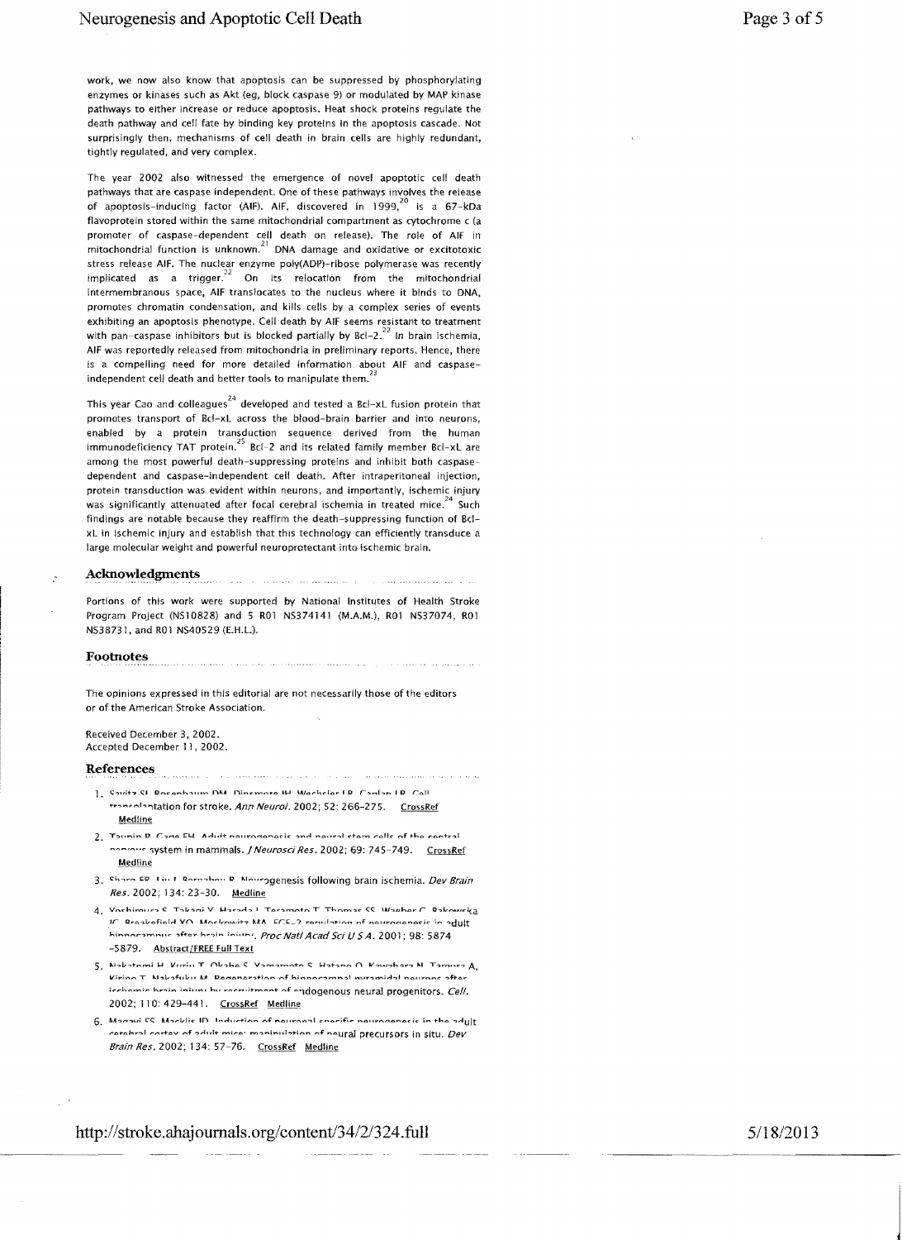work, we now also know that apoptosis can be suppressed by phosphorylating enzymes or kinases such as Akt (eg, block caspase 9) or modulated by MAP kinase pathways to either increase or reduce apoptosis. Heat shock proteins regulate the death pathway and cell fate by binding key proteins in the apoptosis cascade. Not surprisingly then, mechanisms of cell death in brain cells are highly redundant, tightly regulated, and *very* complex.

The year 2002 also witnessed the emergence of novel apoptotic cell death pathways that are caspase independent. One of these pathways involves the release of apoptosis-inducing factor (AIF). AIF, discovered in  $1999$ ,  $^{20}$  is a 67-kDa flavoprotein stored within the same mitochondrial compartment as cytochrome c (a promoter of caspase-dependent cell death on release). The role of AIF in mitochondrial function is unknown. $^{21}$  DNA damage and oxidative or excitotoxic stress release AIF. The nuclear enzyme poly(ADP)-ribose polymerase was recently implicated as a trigger.<sup>22</sup> On its relocation from the mitochondrial intermembranous space, AIF translocates to the nucleus where it binds to DNA, promotes chromatin condensation, and kills cells by a complex series of events exhibiting an apoptosis phenotype. Cell death by AIF seems resistant to treatment with pan-caspase inhibitors but is blocked partially by BcI-2.<sup>22</sup> In brain ischemia. AIF was reportedly released from mitochondria in preliminary reports. Hence, there is a compelling need for more detailed information about AIF and caspaseindependent cell death and better tools to manipulate them.<sup>"</sup>

This year Cao and colleagues<sup>24</sup> developed and tested a Bcl-xL fusion protein that promotes transport of Bel-xL across the blood-brain barrier and into neurons, enabled by a protein transduction sequence derived from the human immunodeficiency TAT protein.<sup>25</sup> Bcl-2 and its related family member Bcl-xL are among the most powerful death-suppressing proteins and inhibit both caspasedependent and caspase-independent cell death. After intraperitoneal injection, protein transduction was evident Within neurons, and importantly, ischemic injury was significantly attenuated after focal cerebral ischemia in treated mice.<sup>24</sup> Such findings are notable because they reaffirm the death-suppressing function of BcIxL in ischemic injury and establish that this technology can efficiently transduce a large molecular weight and powerful neuroprotectant into ischemic brain.

#### Acknowledgments

Portions of this work were supported by National Institutes of Health Stroke Program Project (NS10828) and 5 R01 NS374141 (M.A.M.), R01 NS37074, R01 NS38731, and R01 NS40529 (E.H.L).

.<br>The six of the company of the presentation of the

#### Footnotes

The opinions expressed in this editorial are not necessarily those of the editors or of the American Stroke Association.

 $\label{eq:2.1} \begin{minipage}{0.95\textwidth} \begin{minipage}{0.95\textwidth} \centering \begin{minipage}{0.95\textwidth} \centering \end{minipage} \begin{minipage}{0.95\textwidth} \centering \begin{minipage}{0.95\textwidth} \centering \end{minipage} \end{minipage} \begin{minipage}{0.95\textwidth} \centering \begin{minipage}{0.95\textwidth} \centering \end{minipage} \end{minipage} \begin{minipage}{0.95\textwidth} \centering \begin{minipage}{0.95\textwidth} \centering \end{minipage} \end{minipage} \begin{$ 

Received December 3,2002. Accepted December 11. 2002.

#### References

1. Coultz CL Rocenhoum DM. Dinemore IH Wechsler LR. Contant R. Cell transniantation for stroke. Ann Neurol. 2002; 52: 266-275. CrossRef Medline

The construction of the construction of the construction of the construction of the construction of the construction of the construction of the construction of the construction of the construction of the construction of th

The period service weight by the state

- 2. Tounin D. Cone EH. Adult nouronanacic and noural stam calls of the contral normaus system in mammals. J Neurosci Res. 2002; 69: 745-749. CrossRef **Medline**
- 3. Share ED I in I Rornahou D. Mouragenesis following brain ischemia. Dev Brain Res. 2002; 134: 23-30. Medline
- 4. Vachimuro C. Takani V. Harodo I. Taramata T. Thamac CC. Waahar C. Rakaurka IF Braskefield YO. Mockowitz MA ECE\_2 requisition of neuroganesic in adult hinnocamnus after hrain injury, Proc Natl Acad Sci U S A. 2001; 98: 5874 -5879. Abstract/FREE Full Text
- $\mathbf{5}_{\cdot}$  Notestomi H. Kirisi T. Oksha S. Vsmamoto S. Hatano O. Kawabara N. Tamura  $\mathbf{A}_{\cdot}$ Viring T. Nabafubu M. Degeneration of hinnocamual nuramidal neurone after icchamic hrain inform by correlitment of endogenous neural progenitors. Cell. 2002; 110: 429-441. CrossRef Medline
- 6. Manaul CC Marklie ID Induction of nouranal enerific nouranonesis in the adult  $\epsilon$ arahral cortav of adult mica: maninulation of neural precursors in situ.  $Dev$ Brain Res. 2002; 134: 57-76. CrossRef Medline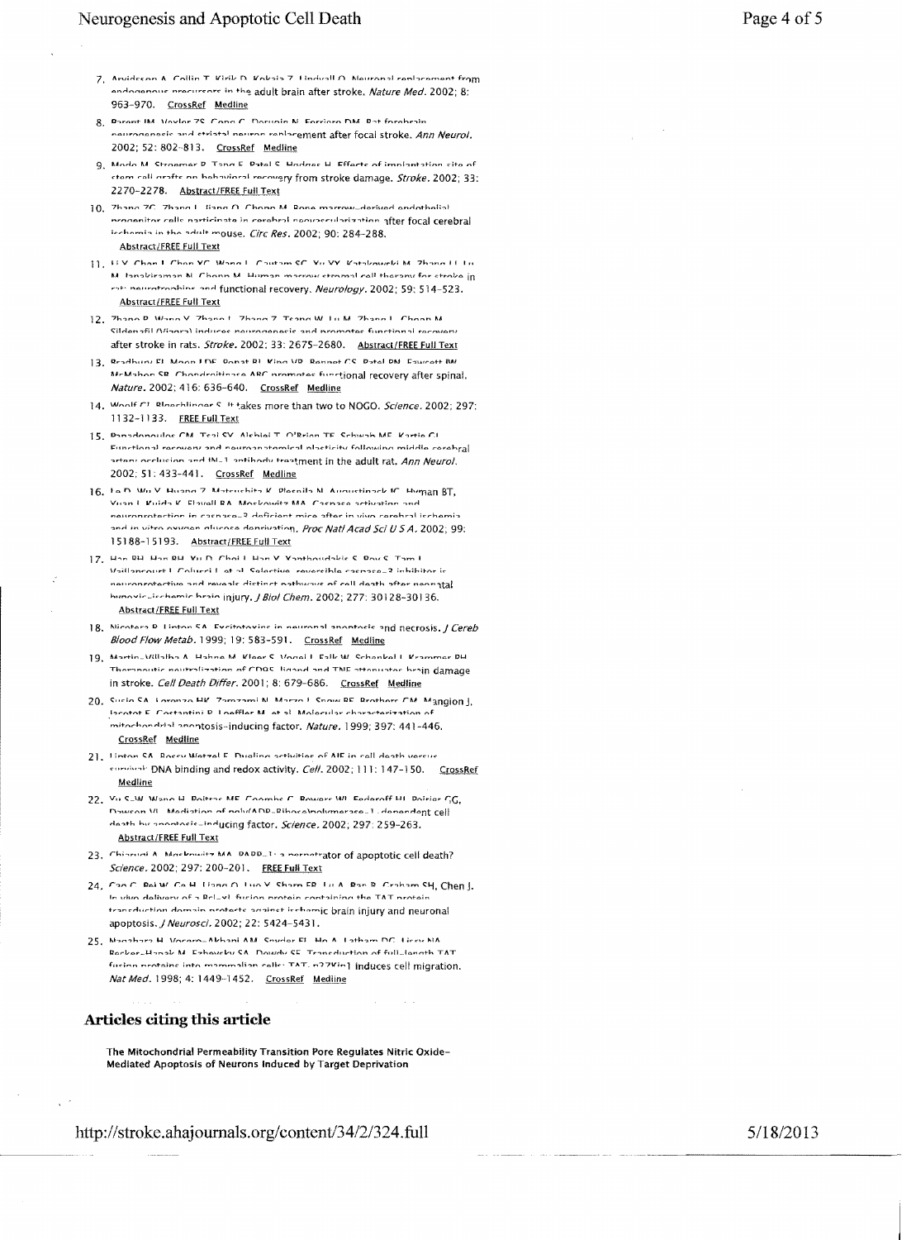- 7. Arvideens A. Collin T. Virib D. Vobsis 7. Lindvall A. Nouranal replacement from andogenous procureors in the adult brain after stroke, Nature Med. 2002; 8: 963-970. CrossRef Medline
- 8. Daront IM Voylor 79 Conc C. Dorunin N. Forriorn DM. Dot forobrain naurononosis and etriatal nouron replacement after focal stroke. Ann Neurol, 2002; 52: 802-813. CrossRef Medline
- 9. Modo M Stroamer D Tonn E Datel C Hodnes H Efferts of implantation site of ctom call arofts on bohavioral recovery from stroke damage. Stroke. 2002; 33: 2270-2278. Abstract/FREE Full Text
- 10. Thang 7F. Thang I liang A Fhans M Rone marrow derived endotholial programitor calls norticinate in corabral naousscrularization after focal cerebral icchamin in the adult mouse. Circ Res. 2002; 90: 284-288. **Abstract/FREE Full Text**
- 11. IIV Chan I Chan VC Wonel Coutain SC Vu VV Vatakowski M. Thana II In .<br>M. Ianakiraman N. Chonn M. Human marrow etromal cell therany for ctroke in rational methodies and functional recovery. Neurology. 2002; 59: 514-523. **Abstract/FREE Full Text**
- 12. Thann D. Wann V. Thann t. Thann 7. Teann W. Lu M. Thann I. Chann M. Sildenafil (Vianra) induces nourogenesis and promotes functional recovery after stroke in rats. Stroke. 2002; 33: 2675-2680. Abstract/FREE Full Text
- 3. Readhuru El Moon LDE Ronat Rt Vina VD Ronnot CC Ratal DN Equinott RN McMahon SR. Chandroitinase ARC promotes functional recovery after spinal. Nature. 2002; 416: 636-640. CrossRef Medline
- 14. Woolf CL Rhochlinger S. It takes more than two to NOGO. Science, 2002; 297: 1132-1133. FREE Full Text
- 15. Danadonoulos CM Teai SV Alehiai T O'Reion TE Schwah ME Kartia Cl Eunctional recovery and neuroanatomical placticity following middle cerebral artoni occlusion and this 1 antibody trastment in the adult rat. Ann Neurol. 2002; 51: 433-441. CrossRef Medline
- 16. La D. Wu V. Huann 7. Matricehita K. Plaenila M. Augustinark IC. Human BT, Viian L. Kuida K. Elavoll RA. Mockowitz MA. Caenaco activation and and in vitro overnan plucoso dantivation. Proc Natl Acad Sci USA. 2002; 99: 15188-15193. Abstract/FREE Full Text
- 17. Han RH. Han RH. Yu D. Choi L. Han V. Yanthoudakie C. Bou C. Tam I Voillancourt L'Oducci Lat al Salactiva ravarcible caenace 2 inhibitor is |agreementative and reveale dictinct nathways his outrained hunovic-icchamic hrain injury. J Biol Chem. 2002; 277: 30128-30136. **Abstract/FREE Full Text**
- 18. Nicotars D. Linton CA. Evritatavine in nauronal anontosis and necrosis. J Cereb Blood Flow Metab. 1999; 19: 583-591. CrossRef Medline
- 19. Martin Willalha A. Hahne M. Kleer C. Vonel I. Falk W. Schenkel I. Krammer DH Theronoutic noutralization of CDQS. ligand and TNF attoruates brain damage in stroke. Cell Death Differ. 2001; 8: 679-686. CrossRef Medline
- 20. Surin CA. Loronzo HK. Zomzami N. Morzo I. Snow RF. Rrothore CM. Mangion J, lacotot E. Costantini P. Loeffler M. et al. Molecular characterization of mitochondrial anontosis-inducing factor, Nature, 1999; 397: 441-446. CrossRef Medline
- 21. Linton CA. Roccu Watzal E. Dualing activities of AIE in call doath varsus eundual: DNA binding and redox activity. Cell. 2002; 111: 147-150. CrossRef Medline
- 22. Vu S.M. Wann H. Doltrac ME. Coombe C. Roware WI Farlaroff HI. Dolríar C.G. Nowcon W. Medistion of nobelAND\_Ribocalnolumerace\_1.denendept Cell death hy anontosis-inducing factor. Science, 2002; 297: 259-263. **Abstract/FREE Full Text**
- 23. Chiarmai A. Macknwitz MA. DADD\_1: a nornatrator of apoptotic cell death? Science. 2002; 297: 200-201. FREE Full Text
- 24, Can C. Rol W. Co.H. Hann A. Lun V. Sharn ER. Lu A. Ran R. Craham SH, Chen J. In visin delivery of a Relief fucion arotain containing the TAT arotain transduction domain protects anainst ischamic brain injury and neuronal apoptosis. *J Neurosci*. 2002; 22: 5424-5431.
- 25. Nogahora H. Vocaro-Abhani AM. Coudar Et. Ho A. Latham DC. Licev NA Recker\_Hanak M. Ezhoucky SA. Downy SE. Transduction of full\_length TAT furion protains into mammalian calle: TAT, n27Kin] induces cell migration. Nat Med. 1998; 4: 1449-1452. CrossRef Medline

# Articles citing this article

The Mitochondrial Permeability Transition Pore Regulates Nitric Oxide-Mediated Apoptosis of Neurons Induced by Target Deprivation